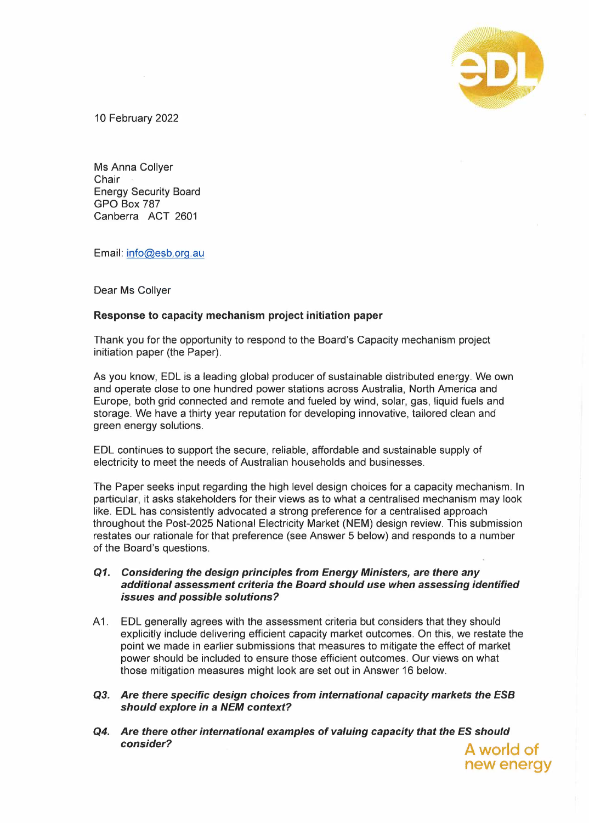

**new energy** 

10 February 2022

Ms Anna Collyer **Chair** Energy Security Board **GPO Box** 787 Canberra ACT 2601

Email: info@esb.org.au

Dear Ms Collyer

# **Response to capacity mechanism project initiation paper**

Thank you for the opportunity to respond to the Board's Capacity mechanism project initiation paper (the Paper).

As you know, EDL is a leading global producer of sustainable distributed energy. We own and operate close to one hundred power stations across Australia, North America and Europe, both grid connected and remote and fueled by wind, solar, gas, liquid fuels and storage. We have a thirty year reputation for developing innovative, tailored clean and green energy solutions.

EDL continues to support the secure, reliable, affordable and sustainable supply of electricity to meet the needs of Australian households and businesses.

The Paper seeks input regarding the high level design choices for a capacity mechanism. In particular, it asks stakeholders for their views as to what a centralised mechanism may look like. EDL has consistently advocated a strong preference for a centralised approach throughout the Post-2025 National Electricity Market (NEM) design review. This submission restates our rationale for that preference (see Answer 5 below) and responds to a number of the Board's questions.

### *Q1. Considering the design principles from Energy Ministers, are there any additional assessment criteria the Board should use when assessing identified issues and possible solutions?*

- A 1. EDL generally agrees with the assessment criteria but considers that they should explicitly include delivering efficient capacity market outcomes. On this, we restate the point we made in earlier submissions that measures to mitigate the effect of market power should be included to ensure those efficient outcomes. Our views on what those mitigation measures might look are set out in Answer 16 below.
- *Q3. Are there specific design choices from international capacity markets the ESB should explore in* **a** *NEM context?*
- *Q4. Are there other international examples of valuing capacity that the ES should consider?* **A world of**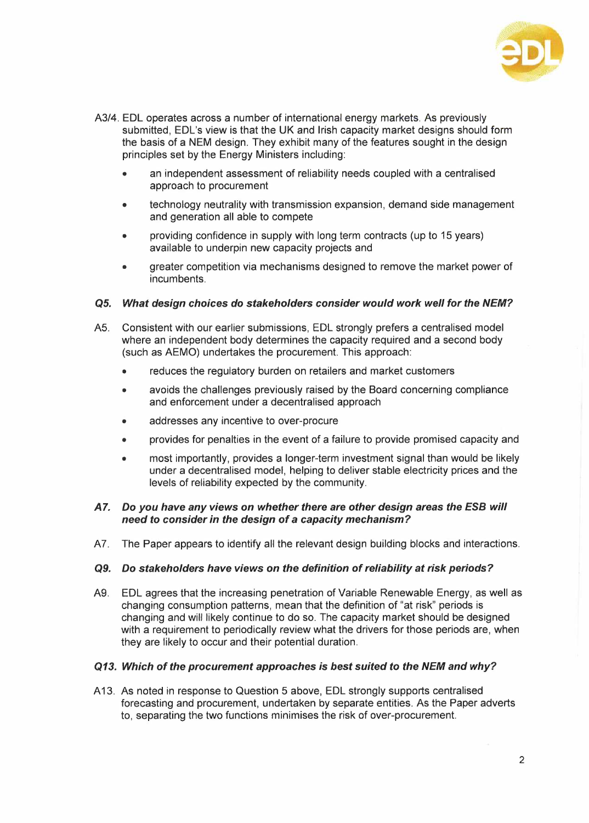

- A3/4. EDL operates across a number of international energy markets. As previously submitted, EDL's view is that the UK and Irish capacity market designs should form the basis of a NEM design. They exhibit many of the features sought in the design principles set by the Energy Ministers including:
	- an independent assessment of reliability needs coupled with a centralised approach to procurement
	- technology neutrality with transmission expansion, demand side management and generation all able to compete
	- providing confidence in supply with long term contracts (up to 15 years) available to underpin new capacity projects and
	- greater competition via mechanisms designed to remove the market power of incumbents.

# *Q5. What design choices do stakeholders consider would work well for the NEM?*

- AS. Consistent with our earlier submissions, EDL strongly prefers a centralised model where an independent body determines the capacity required and a second body (such as AEMO) undertakes the procurement. This approach:
	- reduces the regulatory burden on retailers and market customers
	- avoids the challenges previously raised by the Board concerning compliance and enforcement under a decentralised approach
	- addresses any incentive to over-procure
	- provides for penalties in the event of a failure to provide promised capacity and
	- most importantly, provides a longer-term investment signal than would be likely under a decentralised model, helping to deliver stable electricity prices and the levels of reliability expected by the community.

# *A7. Do you have any views on whether there are other design areas the ESB will need to consider in the design of* **a** *capacity mechanism?*

A7. The Paper appears to identify all the relevant design building blocks and interactions.

### *Q9. Do stakeholders have views on the definition of reliability at risk periods?*

A9. EDL agrees that the increasing penetration of Variable Renewable Energy, as well as changing consumption patterns, mean that the definition of "at risk" periods is changing and will likely continue to do so. The capacity market should be designed with a requirement to periodically review what the drivers for those periods are, when they are likely to occur and their potential duration.

### *Q13. Which of the procurement approaches is best suited to the NEM and why?*

A 13. As noted in response to Question 5 above, EDL strongly supports centralised forecasting and procurement, undertaken by separate entities. As the Paper adverts to, separating the two functions minimises the risk of over-procurement.